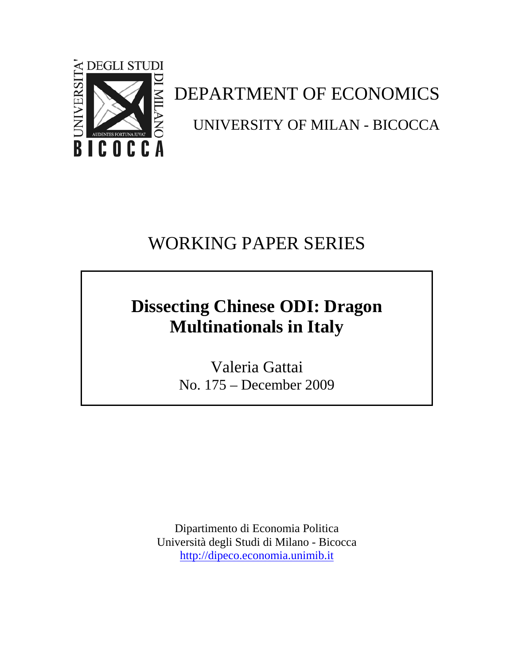

DEPARTMENT OF ECONOMICS UNIVERSITY OF MILAN - BICOCCA

# WORKING PAPER SERIES

# **Dissecting Chinese ODI: Dragon Multinationals in Italy**

Valeria Gattai No. 175 – December 2009

Dipartimento di Economia Politica Università degli Studi di Milano - Bicocca http://dipeco.economia.unimib.it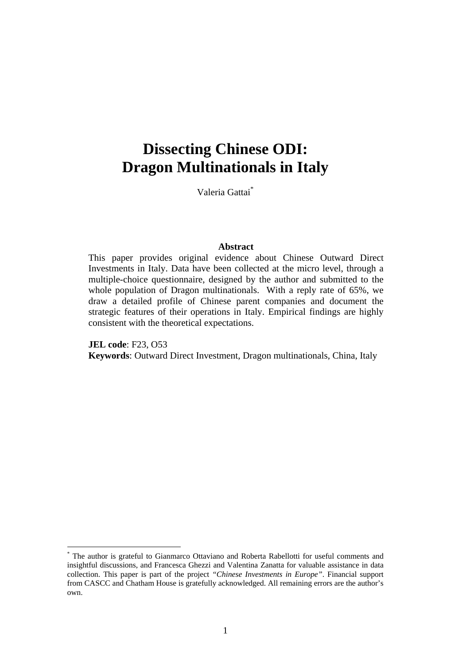# **Dissecting Chinese ODI: Dragon Multinationals in Italy**

Valeria Gattai\*

#### **Abstract**

This paper provides original evidence about Chinese Outward Direct Investments in Italy. Data have been collected at the micro level, through a multiple-choice questionnaire, designed by the author and submitted to the whole population of Dragon multinationals. With a reply rate of 65%, we draw a detailed profile of Chinese parent companies and document the strategic features of their operations in Italy. Empirical findings are highly consistent with the theoretical expectations.

**JEL code**: F23, O53 **Keywords**: Outward Direct Investment, Dragon multinationals, China, Italy

1

<sup>\*</sup> The author is grateful to Gianmarco Ottaviano and Roberta Rabellotti for useful comments and insightful discussions, and Francesca Ghezzi and Valentina Zanatta for valuable assistance in data collection. This paper is part of the project *"Chinese Investments in Europe"*. Financial support from CASCC and Chatham House is gratefully acknowledged. All remaining errors are the author's own.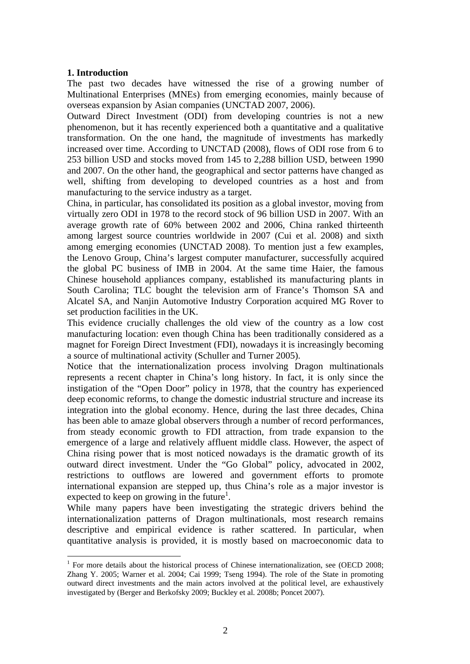## **1. Introduction**

<u>.</u>

The past two decades have witnessed the rise of a growing number of Multinational Enterprises (MNEs) from emerging economies, mainly because of overseas expansion by Asian companies (UNCTAD 2007, 2006).

Outward Direct Investment (ODI) from developing countries is not a new phenomenon, but it has recently experienced both a quantitative and a qualitative transformation. On the one hand, the magnitude of investments has markedly increased over time. According to UNCTAD (2008), flows of ODI rose from 6 to 253 billion USD and stocks moved from 145 to 2,288 billion USD, between 1990 and 2007. On the other hand, the geographical and sector patterns have changed as well, shifting from developing to developed countries as a host and from manufacturing to the service industry as a target.

China, in particular, has consolidated its position as a global investor, moving from virtually zero ODI in 1978 to the record stock of 96 billion USD in 2007. With an average growth rate of 60% between 2002 and 2006, China ranked thirteenth among largest source countries worldwide in 2007 (Cui et al. 2008) and sixth among emerging economies (UNCTAD 2008). To mention just a few examples, the Lenovo Group, China's largest computer manufacturer, successfully acquired the global PC business of IMB in 2004. At the same time Haier, the famous Chinese household appliances company, established its manufacturing plants in South Carolina; TLC bought the television arm of France's Thomson SA and Alcatel SA, and Nanjin Automotive Industry Corporation acquired MG Rover to set production facilities in the UK.

This evidence crucially challenges the old view of the country as a low cost manufacturing location: even though China has been traditionally considered as a magnet for Foreign Direct Investment (FDI), nowadays it is increasingly becoming a source of multinational activity (Schuller and Turner 2005).

Notice that the internationalization process involving Dragon multinationals represents a recent chapter in China's long history. In fact, it is only since the instigation of the "Open Door" policy in 1978, that the country has experienced deep economic reforms, to change the domestic industrial structure and increase its integration into the global economy. Hence, during the last three decades, China has been able to amaze global observers through a number of record performances, from steady economic growth to FDI attraction, from trade expansion to the emergence of a large and relatively affluent middle class. However, the aspect of China rising power that is most noticed nowadays is the dramatic growth of its outward direct investment. Under the "Go Global" policy, advocated in 2002, restrictions to outflows are lowered and government efforts to promote international expansion are stepped up, thus China's role as a major investor is expected to keep on growing in the future<sup>1</sup>.

While many papers have been investigating the strategic drivers behind the internationalization patterns of Dragon multinationals, most research remains descriptive and empirical evidence is rather scattered. In particular, when quantitative analysis is provided, it is mostly based on macroeconomic data to

<sup>&</sup>lt;sup>1</sup> For more details about the historical process of Chinese internationalization, see (OECD 2008; Zhang Y. 2005; Warner et al. 2004; Cai 1999; Tseng 1994). The role of the State in promoting outward direct investments and the main actors involved at the political level, are exhaustively investigated by (Berger and Berkofsky 2009; Buckley et al. 2008b; Poncet 2007).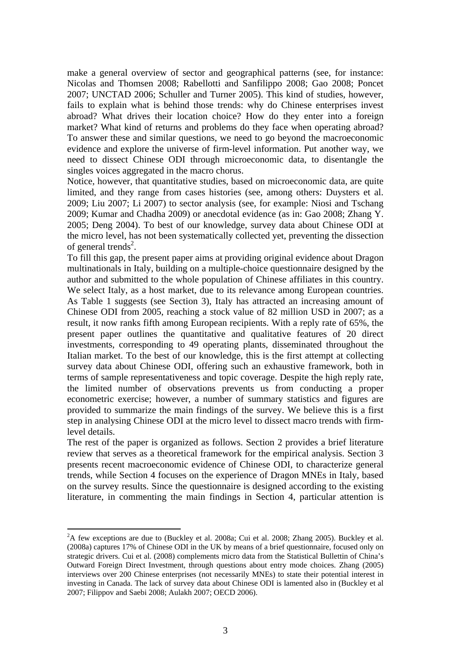make a general overview of sector and geographical patterns (see, for instance: Nicolas and Thomsen 2008; Rabellotti and Sanfilippo 2008; Gao 2008; Poncet 2007; UNCTAD 2006; Schuller and Turner 2005). This kind of studies, however, fails to explain what is behind those trends: why do Chinese enterprises invest abroad? What drives their location choice? How do they enter into a foreign market? What kind of returns and problems do they face when operating abroad? To answer these and similar questions, we need to go beyond the macroeconomic evidence and explore the universe of firm-level information. Put another way, we need to dissect Chinese ODI through microeconomic data, to disentangle the singles voices aggregated in the macro chorus.

Notice, however, that quantitative studies, based on microeconomic data, are quite limited, and they range from cases histories (see, among others: Duysters et al. 2009; Liu 2007; Li 2007) to sector analysis (see, for example: Niosi and Tschang 2009; Kumar and Chadha 2009) or anecdotal evidence (as in: Gao 2008; Zhang Y. 2005; Deng 2004). To best of our knowledge, survey data about Chinese ODI at the micro level, has not been systematically collected yet, preventing the dissection of general trends<sup>2</sup>.

To fill this gap, the present paper aims at providing original evidence about Dragon multinationals in Italy, building on a multiple-choice questionnaire designed by the author and submitted to the whole population of Chinese affiliates in this country. We select Italy, as a host market, due to its relevance among European countries. As Table 1 suggests (see Section 3), Italy has attracted an increasing amount of Chinese ODI from 2005, reaching a stock value of 82 million USD in 2007; as a result, it now ranks fifth among European recipients. With a reply rate of 65%, the present paper outlines the quantitative and qualitative features of 20 direct investments, corresponding to 49 operating plants, disseminated throughout the Italian market. To the best of our knowledge, this is the first attempt at collecting survey data about Chinese ODI, offering such an exhaustive framework, both in terms of sample representativeness and topic coverage. Despite the high reply rate, the limited number of observations prevents us from conducting a proper econometric exercise; however, a number of summary statistics and figures are provided to summarize the main findings of the survey. We believe this is a first step in analysing Chinese ODI at the micro level to dissect macro trends with firmlevel details.

The rest of the paper is organized as follows. Section 2 provides a brief literature review that serves as a theoretical framework for the empirical analysis. Section 3 presents recent macroeconomic evidence of Chinese ODI, to characterize general trends, while Section 4 focuses on the experience of Dragon MNEs in Italy, based on the survey results. Since the questionnaire is designed according to the existing literature, in commenting the main findings in Section 4, particular attention is

<u>.</u>

 ${}^{2}$ A few exceptions are due to (Buckley et al. 2008a; Cui et al. 2008; Zhang 2005). Buckley et al. (2008a) captures 17% of Chinese ODI in the UK by means of a brief questionnaire, focused only on strategic drivers. Cui et al. (2008) complements micro data from the Statistical Bullettin of China's Outward Foreign Direct Investment, through questions about entry mode choices. Zhang (2005) interviews over 200 Chinese enterprises (not necessarily MNEs) to state their potential interest in investing in Canada. The lack of survey data about Chinese ODI is lamented also in (Buckley et al 2007; Filippov and Saebi 2008; Aulakh 2007; OECD 2006).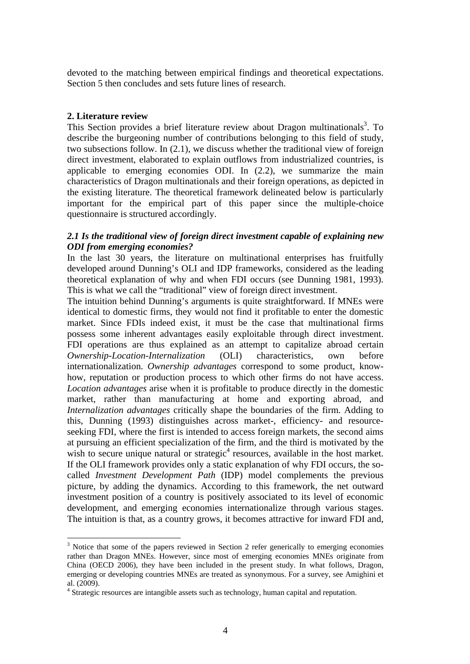devoted to the matching between empirical findings and theoretical expectations. Section 5 then concludes and sets future lines of research.

#### **2. Literature review**

1

This Section provides a brief literature review about Dragon multinationals<sup>3</sup>. To describe the burgeoning number of contributions belonging to this field of study, two subsections follow. In (2.1), we discuss whether the traditional view of foreign direct investment, elaborated to explain outflows from industrialized countries, is applicable to emerging economies ODI. In (2.2), we summarize the main characteristics of Dragon multinationals and their foreign operations, as depicted in the existing literature. The theoretical framework delineated below is particularly important for the empirical part of this paper since the multiple-choice questionnaire is structured accordingly.

## *2.1 Is the traditional view of foreign direct investment capable of explaining new ODI from emerging economies?*

In the last 30 years, the literature on multinational enterprises has fruitfully developed around Dunning's OLI and IDP frameworks, considered as the leading theoretical explanation of why and when FDI occurs (see Dunning 1981, 1993). This is what we call the "traditional" view of foreign direct investment.

The intuition behind Dunning's arguments is quite straightforward. If MNEs were identical to domestic firms, they would not find it profitable to enter the domestic market. Since FDIs indeed exist, it must be the case that multinational firms possess some inherent advantages easily exploitable through direct investment. FDI operations are thus explained as an attempt to capitalize abroad certain *Ownership-Location-Internalization* (OLI) characteristics, own before internationalization. *Ownership advantages* correspond to some product, knowhow, reputation or production process to which other firms do not have access. *Location advantages* arise when it is profitable to produce directly in the domestic market, rather than manufacturing at home and exporting abroad, and *Internalization advantages* critically shape the boundaries of the firm. Adding to this, Dunning (1993) distinguishes across market-, efficiency- and resourceseeking FDI, where the first is intended to access foreign markets, the second aims at pursuing an efficient specialization of the firm, and the third is motivated by the wish to secure unique natural or strategic<sup>4</sup> resources, available in the host market. If the OLI framework provides only a static explanation of why FDI occurs, the socalled *Investment Development Path* (IDP) model complements the previous picture, by adding the dynamics. According to this framework, the net outward investment position of a country is positively associated to its level of economic development, and emerging economies internationalize through various stages. The intuition is that, as a country grows, it becomes attractive for inward FDI and,

 $3$  Notice that some of the papers reviewed in Section 2 refer generically to emerging economies rather than Dragon MNEs. However, since most of emerging economies MNEs originate from China (OECD 2006), they have been included in the present study. In what follows, Dragon, emerging or developing countries MNEs are treated as synonymous. For a survey, see Amighini et al. (2009).

<sup>&</sup>lt;sup>4</sup> Strategic resources are intangible assets such as technology, human capital and reputation.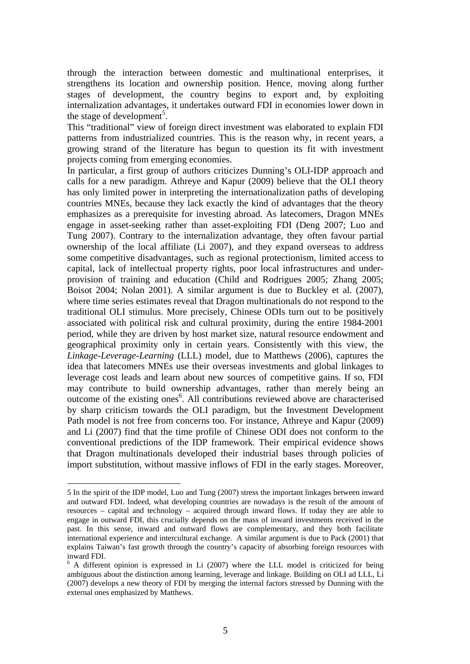through the interaction between domestic and multinational enterprises, it strengthens its location and ownership position. Hence, moving along further stages of development, the country begins to export and, by exploiting internalization advantages, it undertakes outward FDI in economies lower down in the stage of development<sup>5</sup>.

This "traditional" view of foreign direct investment was elaborated to explain FDI patterns from industrialized countries. This is the reason why, in recent years, a growing strand of the literature has begun to question its fit with investment projects coming from emerging economies.

In particular, a first group of authors criticizes Dunning's OLI-IDP approach and calls for a new paradigm. Athreye and Kapur (2009) believe that the OLI theory has only limited power in interpreting the internationalization paths of developing countries MNEs, because they lack exactly the kind of advantages that the theory emphasizes as a prerequisite for investing abroad. As latecomers, Dragon MNEs engage in asset-seeking rather than asset-exploiting FDI (Deng 2007; Luo and Tung 2007). Contrary to the internalization advantage, they often favour partial ownership of the local affiliate (Li 2007), and they expand overseas to address some competitive disadvantages, such as regional protectionism, limited access to capital, lack of intellectual property rights, poor local infrastructures and underprovision of training and education (Child and Rodrigues 2005; Zhang 2005; Boisot 2004; Nolan 2001). A similar argument is due to Buckley et al. (2007), where time series estimates reveal that Dragon multinationals do not respond to the traditional OLI stimulus. More precisely, Chinese ODIs turn out to be positively associated with political risk and cultural proximity, during the entire 1984-2001 period, while they are driven by host market size, natural resource endowment and geographical proximity only in certain years. Consistently with this view, the *Linkage-Leverage-Learning* (LLL) model, due to Matthews (2006), captures the idea that latecomers MNEs use their overseas investments and global linkages to leverage cost leads and learn about new sources of competitive gains. If so, FDI may contribute to build ownership advantages, rather than merely being an  $o$ utcome of the existing ones $<sup>6</sup>$ . All contributions reviewed above are characterised</sup> by sharp criticism towards the OLI paradigm, but the Investment Development Path model is not free from concerns too. For instance, Athreye and Kapur (2009) and Li (2007) find that the time profile of Chinese ODI does not conform to the conventional predictions of the IDP framework. Their empirical evidence shows that Dragon multinationals developed their industrial bases through policies of import substitution, without massive inflows of FDI in the early stages. Moreover,

1

<sup>5</sup> In the spirit of the IDP model, Luo and Tung (2007) stress the important linkages between inward and outward FDI. Indeed, what developing countries are nowadays is the result of the amount of resources – capital and technology – acquired through inward flows. If today they are able to engage in outward FDI, this crucially depends on the mass of inward investments received in the past. In this sense, inward and outward flows are complementary, and they both facilitate international experience and intercultural exchange. A similar argument is due to Pack (2001) that explains Taiwan's fast growth through the country's capacity of absorbing foreign resources with inward FDI.

 $6$  A different opinion is expressed in Li (2007) where the LLL model is criticized for being ambiguous about the distinction among learning, leverage and linkage. Building on OLI ad LLL, Li (2007) develops a new theory of FDI by merging the internal factors stressed by Dunning with the external ones emphasized by Matthews.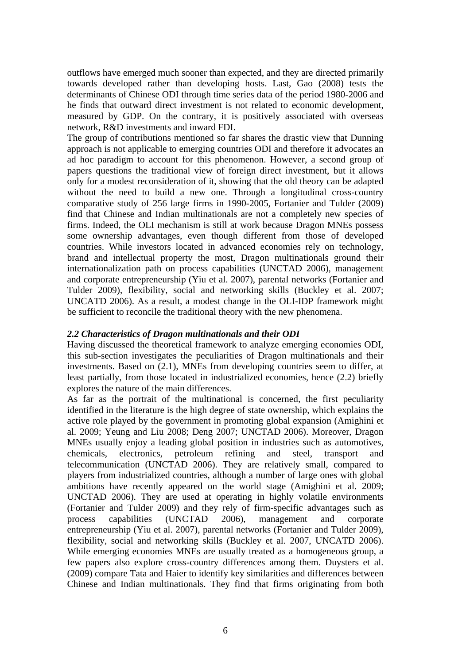outflows have emerged much sooner than expected, and they are directed primarily towards developed rather than developing hosts. Last, Gao (2008) tests the determinants of Chinese ODI through time series data of the period 1980-2006 and he finds that outward direct investment is not related to economic development, measured by GDP. On the contrary, it is positively associated with overseas network, R&D investments and inward FDI.

The group of contributions mentioned so far shares the drastic view that Dunning approach is not applicable to emerging countries ODI and therefore it advocates an ad hoc paradigm to account for this phenomenon. However, a second group of papers questions the traditional view of foreign direct investment, but it allows only for a modest reconsideration of it, showing that the old theory can be adapted without the need to build a new one. Through a longitudinal cross-country comparative study of 256 large firms in 1990-2005, Fortanier and Tulder (2009) find that Chinese and Indian multinationals are not a completely new species of firms. Indeed, the OLI mechanism is still at work because Dragon MNEs possess some ownership advantages, even though different from those of developed countries. While investors located in advanced economies rely on technology, brand and intellectual property the most, Dragon multinationals ground their internationalization path on process capabilities (UNCTAD 2006), management and corporate entrepreneurship (Yiu et al. 2007), parental networks (Fortanier and Tulder 2009), flexibility, social and networking skills (Buckley et al. 2007; UNCATD 2006). As a result, a modest change in the OLI-IDP framework might be sufficient to reconcile the traditional theory with the new phenomena.

#### *2.2 Characteristics of Dragon multinationals and their ODI*

Having discussed the theoretical framework to analyze emerging economies ODI, this sub-section investigates the peculiarities of Dragon multinationals and their investments. Based on (2.1), MNEs from developing countries seem to differ, at least partially, from those located in industrialized economies, hence (2.2) briefly explores the nature of the main differences.

As far as the portrait of the multinational is concerned, the first peculiarity identified in the literature is the high degree of state ownership, which explains the active role played by the government in promoting global expansion (Amighini et al. 2009; Yeung and Liu 2008; Deng 2007; UNCTAD 2006). Moreover, Dragon MNEs usually enjoy a leading global position in industries such as automotives, chemicals, electronics, petroleum refining and steel, transport and telecommunication (UNCTAD 2006). They are relatively small, compared to players from industrialized countries, although a number of large ones with global ambitions have recently appeared on the world stage (Amighini et al. 2009; UNCTAD 2006). They are used at operating in highly volatile environments (Fortanier and Tulder 2009) and they rely of firm-specific advantages such as process capabilities (UNCTAD 2006), management and corporate entrepreneurship (Yiu et al. 2007), parental networks (Fortanier and Tulder 2009), flexibility, social and networking skills (Buckley et al. 2007, UNCATD 2006). While emerging economies MNEs are usually treated as a homogeneous group, a few papers also explore cross-country differences among them. Duysters et al. (2009) compare Tata and Haier to identify key similarities and differences between Chinese and Indian multinationals. They find that firms originating from both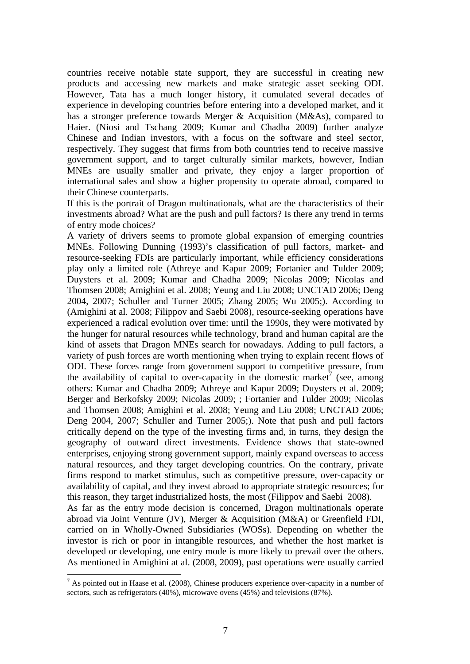countries receive notable state support, they are successful in creating new products and accessing new markets and make strategic asset seeking ODI. However, Tata has a much longer history, it cumulated several decades of experience in developing countries before entering into a developed market, and it has a stronger preference towards Merger & Acquisition (M&As), compared to Haier. (Niosi and Tschang 2009; Kumar and Chadha 2009) further analyze Chinese and Indian investors, with a focus on the software and steel sector, respectively. They suggest that firms from both countries tend to receive massive government support, and to target culturally similar markets, however, Indian MNEs are usually smaller and private, they enjoy a larger proportion of international sales and show a higher propensity to operate abroad, compared to their Chinese counterparts.

If this is the portrait of Dragon multinationals, what are the characteristics of their investments abroad? What are the push and pull factors? Is there any trend in terms of entry mode choices?

A variety of drivers seems to promote global expansion of emerging countries MNEs. Following Dunning (1993)'s classification of pull factors, market- and resource-seeking FDIs are particularly important, while efficiency considerations play only a limited role (Athreye and Kapur 2009; Fortanier and Tulder 2009; Duysters et al. 2009; Kumar and Chadha 2009; Nicolas 2009; Nicolas and Thomsen 2008; Amighini et al. 2008; Yeung and Liu 2008; UNCTAD 2006; Deng 2004, 2007; Schuller and Turner 2005; Zhang 2005; Wu 2005;). According to (Amighini at al. 2008; Filippov and Saebi 2008), resource-seeking operations have experienced a radical evolution over time: until the 1990s, they were motivated by the hunger for natural resources while technology, brand and human capital are the kind of assets that Dragon MNEs search for nowadays. Adding to pull factors, a variety of push forces are worth mentioning when trying to explain recent flows of ODI. These forces range from government support to competitive pressure, from the availability of capital to over-capacity in the domestic market<sup>7</sup> (see, among others: Kumar and Chadha 2009; Athreye and Kapur 2009; Duysters et al. 2009; Berger and Berkofsky 2009; Nicolas 2009; ; Fortanier and Tulder 2009; Nicolas and Thomsen 2008; Amighini et al. 2008; Yeung and Liu 2008; UNCTAD 2006; Deng 2004, 2007; Schuller and Turner 2005;). Note that push and pull factors critically depend on the type of the investing firms and, in turns, they design the geography of outward direct investments. Evidence shows that state-owned enterprises, enjoying strong government support, mainly expand overseas to access natural resources, and they target developing countries. On the contrary, private firms respond to market stimulus, such as competitive pressure, over-capacity or availability of capital, and they invest abroad to appropriate strategic resources; for this reason, they target industrialized hosts, the most (Filippov and Saebi 2008). As far as the entry mode decision is concerned, Dragon multinationals operate abroad via Joint Venture (JV), Merger & Acquisition (M&A) or Greenfield FDI, carried on in Wholly-Owned Subsidiaries (WOSs). Depending on whether the

developed or developing, one entry mode is more likely to prevail over the others. As mentioned in Amighini at al. (2008, 2009), past operations were usually carried 1

investor is rich or poor in intangible resources, and whether the host market is

 $<sup>7</sup>$  As pointed out in Haase et al. (2008), Chinese producers experience over-capacity in a number of</sup> sectors, such as refrigerators (40%), microwave ovens (45%) and televisions (87%).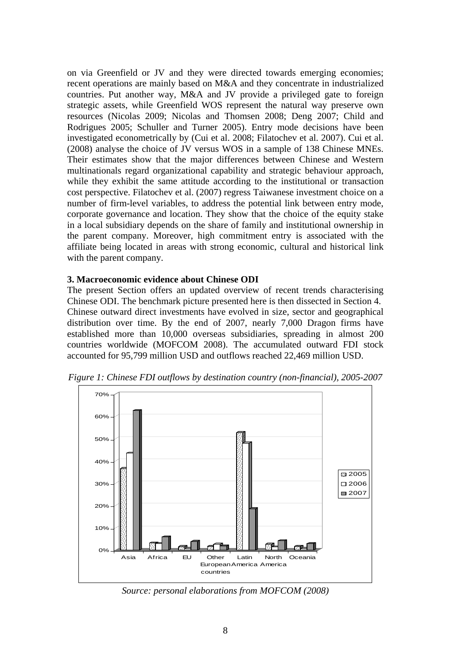on via Greenfield or JV and they were directed towards emerging economies; recent operations are mainly based on M&A and they concentrate in industrialized countries. Put another way, M&A and JV provide a privileged gate to foreign strategic assets, while Greenfield WOS represent the natural way preserve own resources (Nicolas 2009; Nicolas and Thomsen 2008; Deng 2007; Child and Rodrigues 2005; Schuller and Turner 2005). Entry mode decisions have been investigated econometrically by (Cui et al. 2008; Filatochev et al. 2007). Cui et al. (2008) analyse the choice of JV versus WOS in a sample of 138 Chinese MNEs. Their estimates show that the major differences between Chinese and Western multinationals regard organizational capability and strategic behaviour approach, while they exhibit the same attitude according to the institutional or transaction cost perspective. Filatochev et al. (2007) regress Taiwanese investment choice on a number of firm-level variables, to address the potential link between entry mode, corporate governance and location. They show that the choice of the equity stake in a local subsidiary depends on the share of family and institutional ownership in the parent company. Moreover, high commitment entry is associated with the affiliate being located in areas with strong economic, cultural and historical link with the parent company.

# **3. Macroeconomic evidence about Chinese ODI**

The present Section offers an updated overview of recent trends characterising Chinese ODI. The benchmark picture presented here is then dissected in Section 4. Chinese outward direct investments have evolved in size, sector and geographical distribution over time. By the end of 2007, nearly 7,000 Dragon firms have established more than 10,000 overseas subsidiaries, spreading in almost 200 countries worldwide (MOFCOM 2008). The accumulated outward FDI stock accounted for 95,799 million USD and outflows reached 22,469 million USD.



*Figure 1: Chinese FDI outflows by destination country (non-financial), 2005-2007* 

*Source: personal elaborations from MOFCOM (2008)*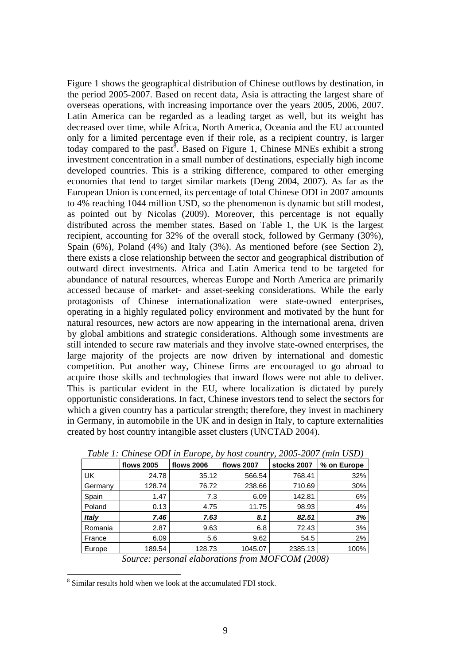Figure 1 shows the geographical distribution of Chinese outflows by destination, in the period 2005-2007. Based on recent data, Asia is attracting the largest share of overseas operations, with increasing importance over the years 2005, 2006, 2007. Latin America can be regarded as a leading target as well, but its weight has decreased over time, while Africa, North America, Oceania and the EU accounted only for a limited percentage even if their role, as a recipient country, is larger today compared to the past<sup>8</sup>. Based on Figure 1, Chinese MNEs exhibit a strong investment concentration in a small number of destinations, especially high income developed countries. This is a striking difference, compared to other emerging economies that tend to target similar markets (Deng 2004, 2007). As far as the European Union is concerned, its percentage of total Chinese ODI in 2007 amounts to 4% reaching 1044 million USD, so the phenomenon is dynamic but still modest, as pointed out by Nicolas (2009). Moreover, this percentage is not equally distributed across the member states. Based on Table 1, the UK is the largest recipient, accounting for 32% of the overall stock, followed by Germany (30%), Spain (6%), Poland (4%) and Italy (3%). As mentioned before (see Section 2), there exists a close relationship between the sector and geographical distribution of outward direct investments. Africa and Latin America tend to be targeted for abundance of natural resources, whereas Europe and North America are primarily accessed because of market- and asset-seeking considerations. While the early protagonists of Chinese internationalization were state-owned enterprises, operating in a highly regulated policy environment and motivated by the hunt for natural resources, new actors are now appearing in the international arena, driven by global ambitions and strategic considerations. Although some investments are still intended to secure raw materials and they involve state-owned enterprises, the large majority of the projects are now driven by international and domestic competition. Put another way, Chinese firms are encouraged to go abroad to acquire those skills and technologies that inward flows were not able to deliver. This is particular evident in the EU, where localization is dictated by purely opportunistic considerations. In fact, Chinese investors tend to select the sectors for which a given country has a particular strength; therefore, they invest in machinery in Germany, in automobile in the UK and in design in Italy, to capture externalities created by host country intangible asset clusters (UNCTAD 2004).

| Table 1. Chinese ODI in Europe, by nost country, 2003-2007 (min OSD)                                  |                   |                   |                   |             |             |
|-------------------------------------------------------------------------------------------------------|-------------------|-------------------|-------------------|-------------|-------------|
|                                                                                                       | <b>flows 2005</b> | <b>flows 2006</b> | <b>flows 2007</b> | stocks 2007 | % on Europe |
| UK.                                                                                                   | 24.78             | 35.12             | 566.54            | 768.41      | 32%         |
| Germany                                                                                               | 128.74            | 76.72             | 238.66            | 710.69      | 30%         |
| Spain                                                                                                 | 1.47              | 7.3               | 6.09              | 142.81      | 6%          |
| Poland                                                                                                | 0.13              | 4.75              | 11.75             | 98.93       | 4%          |
| <b>Italy</b>                                                                                          | 7.46              | 7.63              | 8.1               | 82.51       | 3%          |
| Romania                                                                                               | 2.87              | 9.63              | 6.8               | 72.43       | 3%          |
| France                                                                                                | 6.09              | 5.6               | 9.62              | 54.5        | 2%          |
| Europe                                                                                                | 189.54            | 128.73            | 1045.07           | 2385.13     | 100%        |
| $\sim$<br>$\mathbf{1}$ $\mathbf{1}$ $\mathbf{1}$<br>$\mathcal{C}$ and $\mathcal{C}$<br>11000011(2000) |                   |                   |                   |             |             |

*Table 1: Chinese ODI in Europe, by host country, 2005-2007 (mln USD)* 

*Source: personal elaborations from MOFCOM (2008)*

8 Similar results hold when we look at the accumulated FDI stock.

1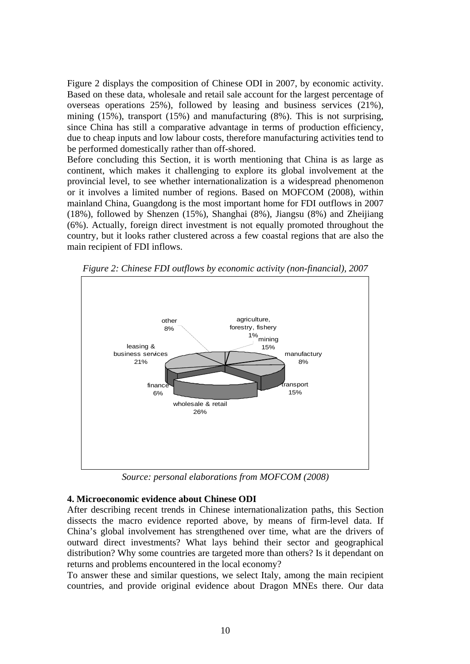Figure 2 displays the composition of Chinese ODI in 2007, by economic activity. Based on these data, wholesale and retail sale account for the largest percentage of overseas operations 25%), followed by leasing and business services (21%), mining (15%), transport (15%) and manufacturing (8%). This is not surprising, since China has still a comparative advantage in terms of production efficiency, due to cheap inputs and low labour costs, therefore manufacturing activities tend to be performed domestically rather than off-shored.

Before concluding this Section, it is worth mentioning that China is as large as continent, which makes it challenging to explore its global involvement at the provincial level, to see whether internationalization is a widespread phenomenon or it involves a limited number of regions. Based on MOFCOM (2008), within mainland China, Guangdong is the most important home for FDI outflows in 2007 (18%), followed by Shenzen (15%), Shanghai (8%), Jiangsu (8%) and Zheijiang (6%). Actually, foreign direct investment is not equally promoted throughout the country, but it looks rather clustered across a few coastal regions that are also the main recipient of FDI inflows.



*Figure 2: Chinese FDI outflows by economic activity (non-financial), 2007*

*Source: personal elaborations from MOFCOM (2008)* 

## **4. Microeconomic evidence about Chinese ODI**

After describing recent trends in Chinese internationalization paths, this Section dissects the macro evidence reported above, by means of firm-level data. If China's global involvement has strengthened over time, what are the drivers of outward direct investments? What lays behind their sector and geographical distribution? Why some countries are targeted more than others? Is it dependant on returns and problems encountered in the local economy?

To answer these and similar questions, we select Italy, among the main recipient countries, and provide original evidence about Dragon MNEs there. Our data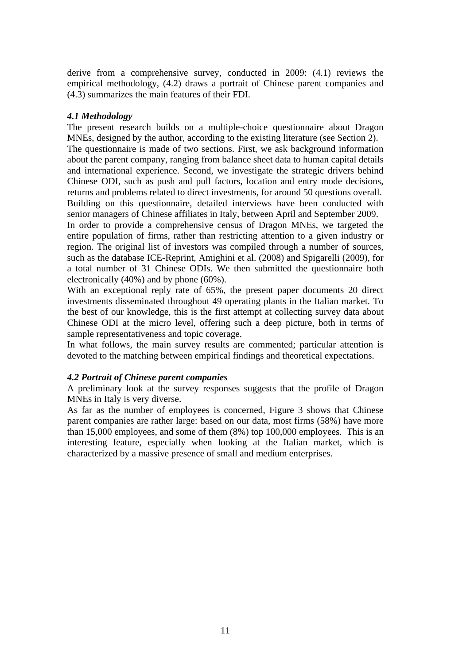derive from a comprehensive survey, conducted in 2009: (4.1) reviews the empirical methodology, (4.2) draws a portrait of Chinese parent companies and (4.3) summarizes the main features of their FDI.

#### *4.1 Methodology*

The present research builds on a multiple-choice questionnaire about Dragon MNEs, designed by the author, according to the existing literature (see Section 2). The questionnaire is made of two sections. First, we ask background information about the parent company, ranging from balance sheet data to human capital details and international experience. Second, we investigate the strategic drivers behind Chinese ODI, such as push and pull factors, location and entry mode decisions, returns and problems related to direct investments, for around 50 questions overall. Building on this questionnaire, detailed interviews have been conducted with senior managers of Chinese affiliates in Italy, between April and September 2009.

In order to provide a comprehensive census of Dragon MNEs, we targeted the entire population of firms, rather than restricting attention to a given industry or region. The original list of investors was compiled through a number of sources, such as the database ICE-Reprint, Amighini et al. (2008) and Spigarelli (2009), for a total number of 31 Chinese ODIs. We then submitted the questionnaire both electronically (40%) and by phone (60%).

With an exceptional reply rate of 65%, the present paper documents 20 direct investments disseminated throughout 49 operating plants in the Italian market. To the best of our knowledge, this is the first attempt at collecting survey data about Chinese ODI at the micro level, offering such a deep picture, both in terms of sample representativeness and topic coverage.

In what follows, the main survey results are commented; particular attention is devoted to the matching between empirical findings and theoretical expectations.

## *4.2 Portrait of Chinese parent companies*

A preliminary look at the survey responses suggests that the profile of Dragon MNEs in Italy is very diverse.

As far as the number of employees is concerned, Figure 3 shows that Chinese parent companies are rather large: based on our data, most firms (58%) have more than 15,000 employees, and some of them (8%) top 100,000 employees. This is an interesting feature, especially when looking at the Italian market, which is characterized by a massive presence of small and medium enterprises.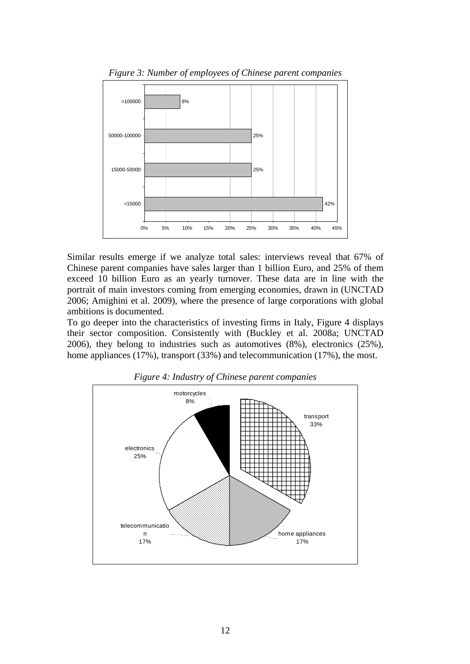

*Figure 3: Number of employees of Chinese parent companies* 

Similar results emerge if we analyze total sales: interviews reveal that 67% of Chinese parent companies have sales larger than 1 billion Euro, and 25% of them exceed 10 billion Euro as an yearly turnover. These data are in line with the portrait of main investors coming from emerging economies, drawn in (UNCTAD 2006; Amighini et al. 2009), where the presence of large corporations with global ambitions is documented.

To go deeper into the characteristics of investing firms in Italy, Figure 4 displays their sector composition. Consistently with (Buckley et al. 2008a; UNCTAD 2006), they belong to industries such as automotives (8%), electronics (25%), home appliances (17%), transport (33%) and telecommunication (17%), the most.



*Figure 4: Industry of Chinese parent companies*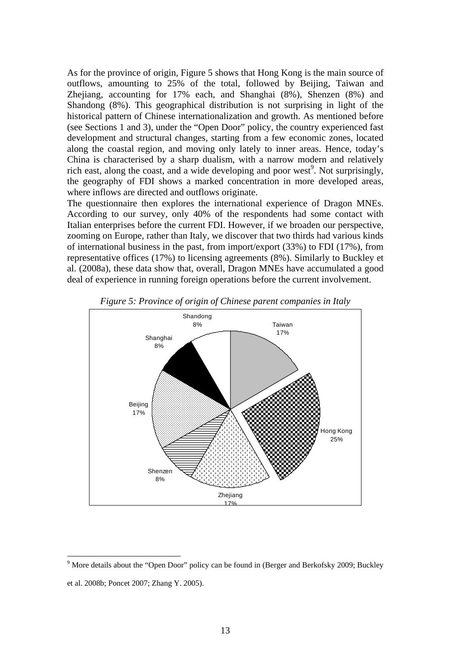As for the province of origin, Figure 5 shows that Hong Kong is the main source of outflows, amounting to 25% of the total, followed by Beijing, Taiwan and Zhejiang, accounting for 17% each, and Shanghai (8%), Shenzen (8%) and Shandong (8%). This geographical distribution is not surprising in light of the historical pattern of Chinese internationalization and growth. As mentioned before (see Sections 1 and 3), under the "Open Door" policy, the country experienced fast development and structural changes, starting from a few economic zones, located along the coastal region, and moving only lately to inner areas. Hence, today's China is characterised by a sharp dualism, with a narrow modern and relatively rich east, along the coast, and a wide developing and poor west<sup>9</sup>. Not surprisingly, the geography of FDI shows a marked concentration in more developed areas, where inflows are directed and outflows originate.

The questionnaire then explores the international experience of Dragon MNEs. According to our survey, only 40% of the respondents had some contact with Italian enterprises before the current FDI. However, if we broaden our perspective, zooming on Europe, rather than Italy, we discover that two thirds had various kinds of international business in the past, from import/export (33%) to FDI (17%), from representative offices (17%) to licensing agreements (8%). Similarly to Buckley et al. (2008a), these data show that, overall, Dragon MNEs have accumulated a good deal of experience in running foreign operations before the current involvement.



*Figure 5: Province of origin of Chinese parent companies in Italy* 

<u>.</u>

<sup>&</sup>lt;sup>9</sup> More details about the "Open Door" policy can be found in (Berger and Berkofsky 2009; Buckley et al. 2008b; Poncet 2007; Zhang Y. 2005).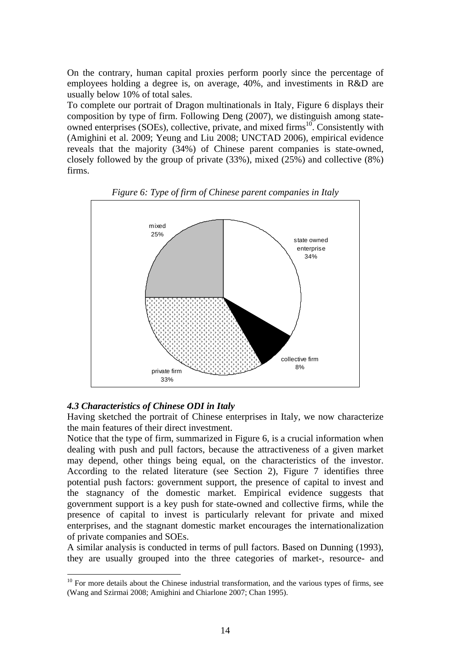On the contrary, human capital proxies perform poorly since the percentage of employees holding a degree is, on average, 40%, and investiments in R&D are usually below 10% of total sales.

To complete our portrait of Dragon multinationals in Italy, Figure 6 displays their composition by type of firm. Following Deng (2007), we distinguish among stateowned enterprises (SOEs), collective, private, and mixed firms<sup>10</sup>. Consistently with (Amighini et al. 2009; Yeung and Liu 2008; UNCTAD 2006), empirical evidence reveals that the majority (34%) of Chinese parent companies is state-owned, closely followed by the group of private (33%), mixed (25%) and collective (8%) firms.



*Figure 6: Type of firm of Chinese parent companies in Italy* 

## *4.3 Characteristics of Chinese ODI in Italy*

1

Having sketched the portrait of Chinese enterprises in Italy, we now characterize the main features of their direct investment.

Notice that the type of firm, summarized in Figure 6, is a crucial information when dealing with push and pull factors, because the attractiveness of a given market may depend, other things being equal, on the characteristics of the investor. According to the related literature (see Section 2), Figure 7 identifies three potential push factors: government support, the presence of capital to invest and the stagnancy of the domestic market. Empirical evidence suggests that government support is a key push for state-owned and collective firms, while the presence of capital to invest is particularly relevant for private and mixed enterprises, and the stagnant domestic market encourages the internationalization of private companies and SOEs.

A similar analysis is conducted in terms of pull factors. Based on Dunning (1993), they are usually grouped into the three categories of market-, resource- and

 $10$  For more details about the Chinese industrial transformation, and the various types of firms, see (Wang and Szirmai 2008; Amighini and Chiarlone 2007; Chan 1995).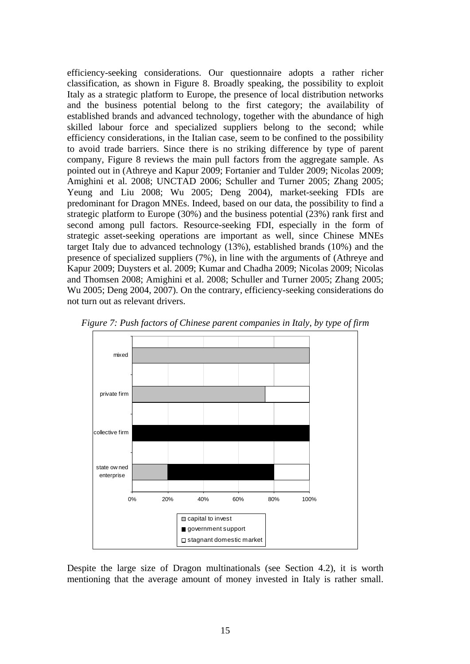efficiency-seeking considerations. Our questionnaire adopts a rather richer classification, as shown in Figure 8. Broadly speaking, the possibility to exploit Italy as a strategic platform to Europe, the presence of local distribution networks and the business potential belong to the first category; the availability of established brands and advanced technology, together with the abundance of high skilled labour force and specialized suppliers belong to the second; while efficiency considerations, in the Italian case, seem to be confined to the possibility to avoid trade barriers. Since there is no striking difference by type of parent company, Figure 8 reviews the main pull factors from the aggregate sample. As pointed out in (Athreye and Kapur 2009; Fortanier and Tulder 2009; Nicolas 2009; Amighini et al. 2008; UNCTAD 2006; Schuller and Turner 2005; Zhang 2005; Yeung and Liu 2008; Wu 2005; Deng 2004), market-seeking FDIs are predominant for Dragon MNEs. Indeed, based on our data, the possibility to find a strategic platform to Europe (30%) and the business potential (23%) rank first and second among pull factors. Resource-seeking FDI, especially in the form of strategic asset-seeking operations are important as well, since Chinese MNEs target Italy due to advanced technology (13%), established brands (10%) and the presence of specialized suppliers (7%), in line with the arguments of (Athreye and Kapur 2009; Duysters et al. 2009; Kumar and Chadha 2009; Nicolas 2009; Nicolas and Thomsen 2008; Amighini et al. 2008; Schuller and Turner 2005; Zhang 2005; Wu 2005; Deng 2004, 2007). On the contrary, efficiency-seeking considerations do not turn out as relevant drivers.



*Figure 7: Push factors of Chinese parent companies in Italy, by type of firm* 

Despite the large size of Dragon multinationals (see Section 4.2), it is worth mentioning that the average amount of money invested in Italy is rather small.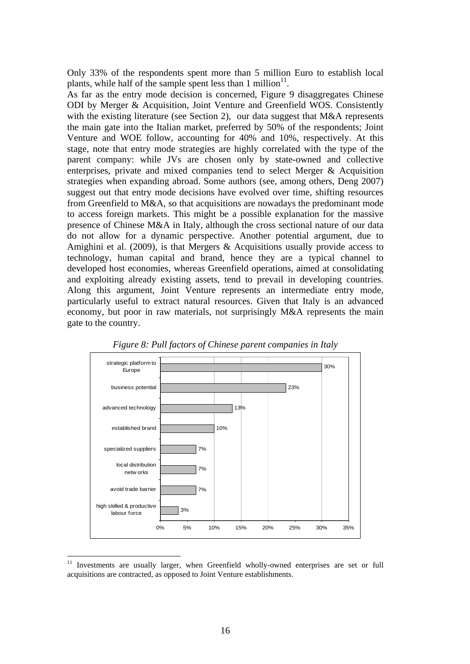Only 33% of the respondents spent more than 5 million Euro to establish local plants, while half of the sample spent less than 1 million $11$ .

As far as the entry mode decision is concerned, Figure 9 disaggregates Chinese ODI by Merger & Acquisition, Joint Venture and Greenfield WOS. Consistently with the existing literature (see Section 2), our data suggest that M&A represents the main gate into the Italian market, preferred by 50% of the respondents; Joint Venture and WOE follow, accounting for 40% and 10%, respectively. At this stage, note that entry mode strategies are highly correlated with the type of the parent company: while JVs are chosen only by state-owned and collective enterprises, private and mixed companies tend to select Merger & Acquisition strategies when expanding abroad. Some authors (see, among others, Deng 2007) suggest out that entry mode decisions have evolved over time, shifting resources from Greenfield to M&A, so that acquisitions are nowadays the predominant mode to access foreign markets. This might be a possible explanation for the massive presence of Chinese M&A in Italy, although the cross sectional nature of our data do not allow for a dynamic perspective. Another potential argument, due to Amighini et al. (2009), is that Mergers & Acquisitions usually provide access to technology, human capital and brand, hence they are a typical channel to developed host economies, whereas Greenfield operations, aimed at consolidating and exploiting already existing assets, tend to prevail in developing countries. Along this argument, Joint Venture represents an intermediate entry mode, particularly useful to extract natural resources. Given that Italy is an advanced economy, but poor in raw materials, not surprisingly M&A represents the main gate to the country.





<u>.</u>

<sup>&</sup>lt;sup>11</sup> Investments are usually larger, when Greenfield wholly-owned enterprises are set or full acquisitions are contracted, as opposed to Joint Venture establishments.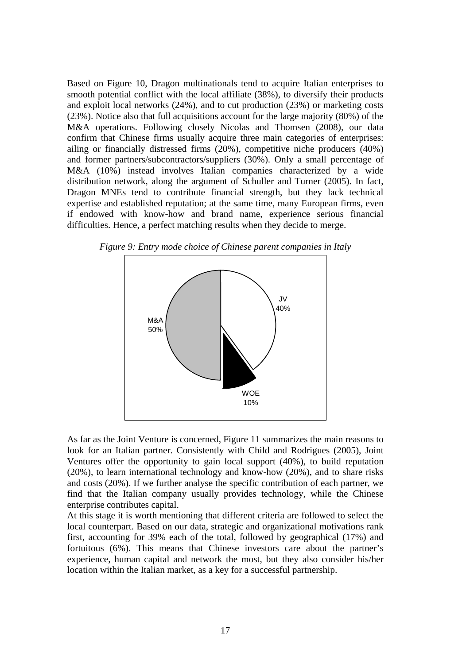Based on Figure 10, Dragon multinationals tend to acquire Italian enterprises to smooth potential conflict with the local affiliate (38%), to diversify their products and exploit local networks (24%), and to cut production (23%) or marketing costs (23%). Notice also that full acquisitions account for the large majority (80%) of the M&A operations. Following closely Nicolas and Thomsen (2008), our data confirm that Chinese firms usually acquire three main categories of enterprises: ailing or financially distressed firms (20%), competitive niche producers (40%) and former partners/subcontractors/suppliers (30%). Only a small percentage of M&A (10%) instead involves Italian companies characterized by a wide distribution network, along the argument of Schuller and Turner (2005). In fact, Dragon MNEs tend to contribute financial strength, but they lack technical expertise and established reputation; at the same time, many European firms, even if endowed with know-how and brand name, experience serious financial difficulties. Hence, a perfect matching results when they decide to merge.



*Figure 9: Entry mode choice of Chinese parent companies in Italy* 

As far as the Joint Venture is concerned, Figure 11 summarizes the main reasons to look for an Italian partner. Consistently with Child and Rodrigues (2005), Joint Ventures offer the opportunity to gain local support (40%), to build reputation (20%), to learn international technology and know-how (20%), and to share risks and costs (20%). If we further analyse the specific contribution of each partner, we find that the Italian company usually provides technology, while the Chinese enterprise contributes capital.

At this stage it is worth mentioning that different criteria are followed to select the local counterpart. Based on our data, strategic and organizational motivations rank first, accounting for 39% each of the total, followed by geographical (17%) and fortuitous (6%). This means that Chinese investors care about the partner's experience, human capital and network the most, but they also consider his/her location within the Italian market, as a key for a successful partnership.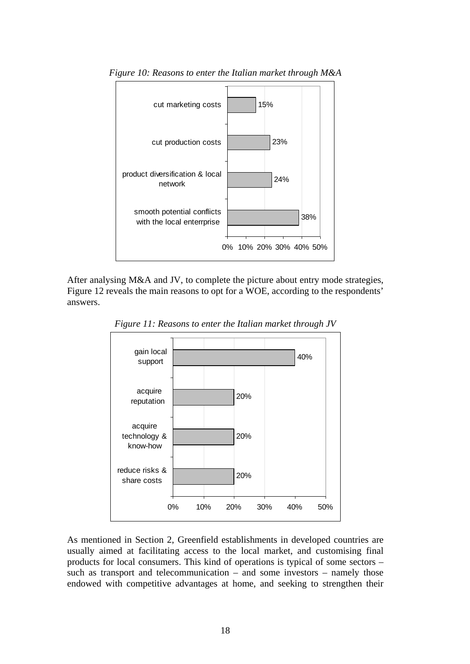

*Figure 10: Reasons to enter the Italian market through M&A* 

After analysing M&A and JV, to complete the picture about entry mode strategies, Figure 12 reveals the main reasons to opt for a WOE, according to the respondents' answers.



*Figure 11: Reasons to enter the Italian market through JV* 

As mentioned in Section 2, Greenfield establishments in developed countries are usually aimed at facilitating access to the local market, and customising final products for local consumers. This kind of operations is typical of some sectors – such as transport and telecommunication – and some investors – namely those endowed with competitive advantages at home, and seeking to strengthen their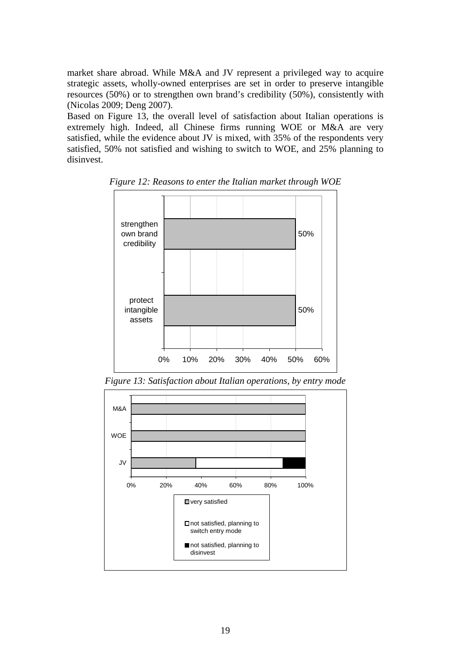market share abroad. While M&A and JV represent a privileged way to acquire strategic assets, wholly-owned enterprises are set in order to preserve intangible resources (50%) or to strengthen own brand's credibility (50%), consistently with (Nicolas 2009; Deng 2007).

Based on Figure 13, the overall level of satisfaction about Italian operations is extremely high. Indeed, all Chinese firms running WOE or M&A are very satisfied, while the evidence about JV is mixed, with 35% of the respondents very satisfied, 50% not satisfied and wishing to switch to WOE, and 25% planning to disinvest.



*Figure 12: Reasons to enter the Italian market through WOE* 

*Figure 13: Satisfaction about Italian operations, by entry mode* 

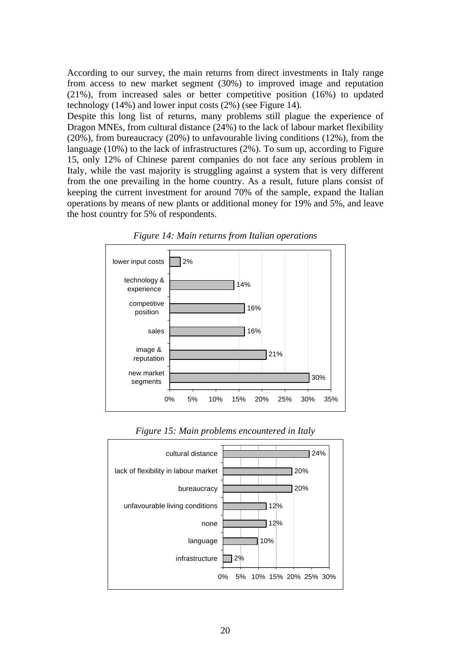According to our survey, the main returns from direct investments in Italy range from access to new market segment (30%) to improved image and reputation (21%), from increased sales or better competitive position (16%) to updated technology (14%) and lower input costs (2%) (see Figure 14).

Despite this long list of returns, many problems still plague the experience of Dragon MNEs, from cultural distance (24%) to the lack of labour market flexibility (20%), from bureaucracy (20%) to unfavourable living conditions (12%), from the language (10%) to the lack of infrastructures (2%). To sum up, according to Figure 15, only 12% of Chinese parent companies do not face any serious problem in Italy, while the vast majority is struggling against a system that is very different from the one prevailing in the home country. As a result, future plans consist of keeping the current investment for around 70% of the sample, expand the Italian operations by means of new plants or additional money for 19% and 5%, and leave the host country for 5% of respondents.





*Figure 15: Main problems encountered in Italy* 

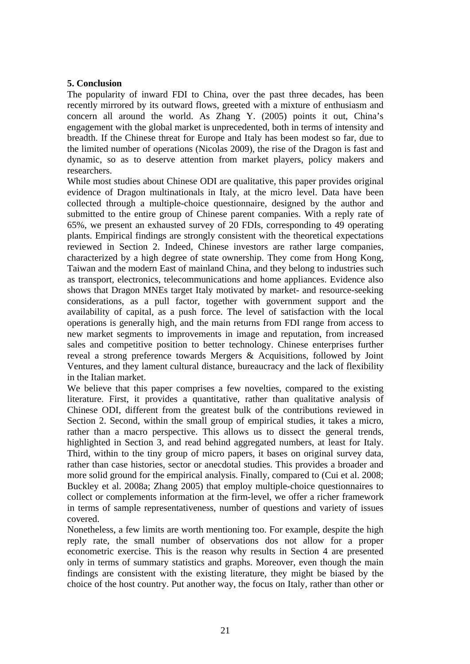# **5. Conclusion**

The popularity of inward FDI to China, over the past three decades, has been recently mirrored by its outward flows, greeted with a mixture of enthusiasm and concern all around the world. As Zhang Y. (2005) points it out, China's engagement with the global market is unprecedented, both in terms of intensity and breadth. If the Chinese threat for Europe and Italy has been modest so far, due to the limited number of operations (Nicolas 2009), the rise of the Dragon is fast and dynamic, so as to deserve attention from market players, policy makers and researchers.

While most studies about Chinese ODI are qualitative, this paper provides original evidence of Dragon multinationals in Italy, at the micro level. Data have been collected through a multiple-choice questionnaire, designed by the author and submitted to the entire group of Chinese parent companies. With a reply rate of 65%, we present an exhausted survey of 20 FDIs, corresponding to 49 operating plants. Empirical findings are strongly consistent with the theoretical expectations reviewed in Section 2. Indeed, Chinese investors are rather large companies, characterized by a high degree of state ownership. They come from Hong Kong, Taiwan and the modern East of mainland China, and they belong to industries such as transport, electronics, telecommunications and home appliances. Evidence also shows that Dragon MNEs target Italy motivated by market- and resource-seeking considerations, as a pull factor, together with government support and the availability of capital, as a push force. The level of satisfaction with the local operations is generally high, and the main returns from FDI range from access to new market segments to improvements in image and reputation, from increased sales and competitive position to better technology. Chinese enterprises further reveal a strong preference towards Mergers & Acquisitions, followed by Joint Ventures, and they lament cultural distance, bureaucracy and the lack of flexibility in the Italian market.

We believe that this paper comprises a few novelties, compared to the existing literature. First, it provides a quantitative, rather than qualitative analysis of Chinese ODI, different from the greatest bulk of the contributions reviewed in Section 2. Second, within the small group of empirical studies, it takes a micro, rather than a macro perspective. This allows us to dissect the general trends, highlighted in Section 3, and read behind aggregated numbers, at least for Italy. Third, within to the tiny group of micro papers, it bases on original survey data, rather than case histories, sector or anecdotal studies. This provides a broader and more solid ground for the empirical analysis. Finally, compared to (Cui et al. 2008; Buckley et al. 2008a; Zhang 2005) that employ multiple-choice questionnaires to collect or complements information at the firm-level, we offer a richer framework in terms of sample representativeness, number of questions and variety of issues covered.

Nonetheless, a few limits are worth mentioning too. For example, despite the high reply rate, the small number of observations dos not allow for a proper econometric exercise. This is the reason why results in Section 4 are presented only in terms of summary statistics and graphs. Moreover, even though the main findings are consistent with the existing literature, they might be biased by the choice of the host country. Put another way, the focus on Italy, rather than other or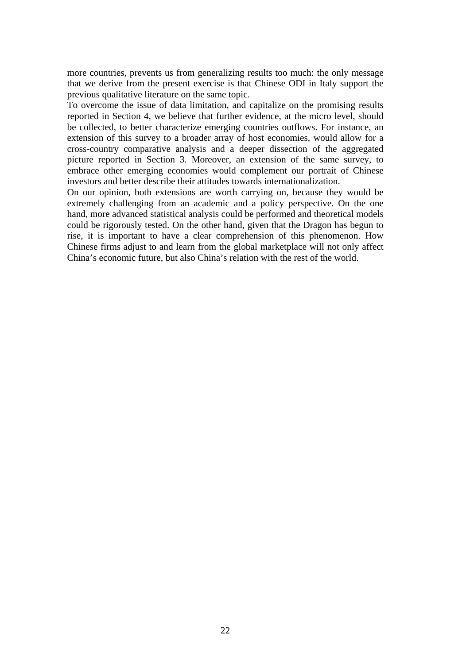more countries, prevents us from generalizing results too much: the only message that we derive from the present exercise is that Chinese ODI in Italy support the previous qualitative literature on the same topic.

To overcome the issue of data limitation, and capitalize on the promising results reported in Section 4, we believe that further evidence, at the micro level, should be collected, to better characterize emerging countries outflows. For instance, an extension of this survey to a broader array of host economies, would allow for a cross-country comparative analysis and a deeper dissection of the aggregated picture reported in Section 3. Moreover, an extension of the same survey, to embrace other emerging economies would complement our portrait of Chinese investors and better describe their attitudes towards internationalization.

On our opinion, both extensions are worth carrying on, because they would be extremely challenging from an academic and a policy perspective. On the one hand, more advanced statistical analysis could be performed and theoretical models could be rigorously tested. On the other hand, given that the Dragon has begun to rise, it is important to have a clear comprehension of this phenomenon. How Chinese firms adjust to and learn from the global marketplace will not only affect China's economic future, but also China's relation with the rest of the world.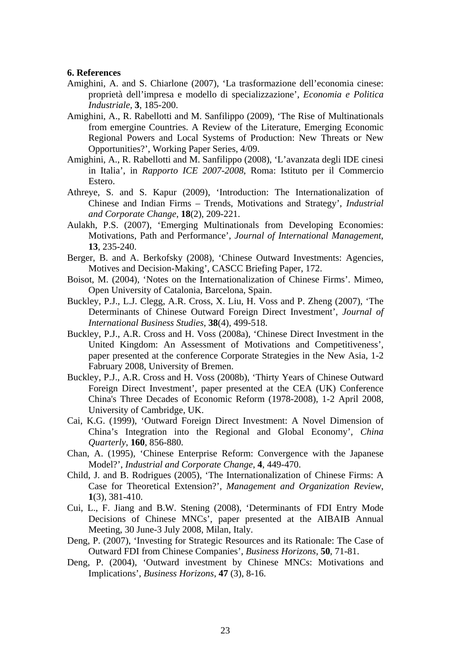#### **6. References**

- Amighini, A. and S. Chiarlone (2007), 'La trasformazione dell'economia cinese: proprietà dell'impresa e modello di specializzazione', *Economia e Politica Industriale*, **3**, 185-200.
- Amighini, A., R. Rabellotti and M. Sanfilippo (2009), 'The Rise of Multinationals from emergine Countries. A Review of the Literature, Emerging Economic Regional Powers and Local Systems of Production: New Threats or New Opportunities?', Working Paper Series, 4/09.
- Amighini, A., R. Rabellotti and M. Sanfilippo (2008), 'L'avanzata degli IDE cinesi in Italia', in *Rapporto ICE 2007-2008*, Roma: Istituto per il Commercio Estero.
- Athreye, S. and S. Kapur (2009), 'Introduction: The Internationalization of Chinese and Indian Firms – Trends, Motivations and Strategy', *Industrial and Corporate Change*, **18**(2), 209-221.
- Aulakh, P.S. (2007), 'Emerging Multinationals from Developing Economies: Motivations, Path and Performance', *Journal of International Management*, **13**, 235-240.
- Berger, B. and A. Berkofsky (2008), 'Chinese Outward Investments: Agencies, Motives and Decision-Making', CASCC Briefing Paper, 172.
- Boisot, M. (2004), 'Notes on the Internationalization of Chinese Firms'. Mimeo, Open University of Catalonia, Barcelona, Spain.
- Buckley, P.J., L.J. Clegg, A.R. Cross, X. Liu, H. Voss and P. Zheng (2007), 'The Determinants of Chinese Outward Foreign Direct Investment', *Journal of International Business Studies*, **38**(4), 499-518.
- Buckley, P.J., A.R. Cross and H. Voss (2008a), 'Chinese Direct Investment in the United Kingdom: An Assessment of Motivations and Competitiveness', paper presented at the conference Corporate Strategies in the New Asia, 1-2 Fabruary 2008, University of Bremen.
- Buckley, P.J., A.R. Cross and H. Voss (2008b), 'Thirty Years of Chinese Outward Foreign Direct Investment', paper presented at the CEA (UK) Conference China's Three Decades of Economic Reform (1978-2008), 1-2 April 2008, University of Cambridge, UK.
- Cai, K.G. (1999), 'Outward Foreign Direct Investment: A Novel Dimension of China's Integration into the Regional and Global Economy', *China Quarterly*, **160**, 856-880.
- Chan, A. (1995), 'Chinese Enterprise Reform: Convergence with the Japanese Model?', *Industrial and Corporate Change*, **4**, 449-470.
- Child, J. and B. Rodrigues (2005), 'The Internationalization of Chinese Firms: A Case for Theoretical Extension?', *Management and Organization Review*, **1**(3), 381-410.
- Cui, L., F. Jiang and B.W. Stening (2008), 'Determinants of FDI Entry Mode Decisions of Chinese MNCs', paper presented at the AIBAIB Annual Meeting, 30 June-3 July 2008, Milan, Italy.
- Deng, P. (2007), 'Investing for Strategic Resources and its Rationale: The Case of Outward FDI from Chinese Companies', *Business Horizons*, **50**, 71-81.
- Deng, P. (2004), 'Outward investment by Chinese MNCs: Motivations and Implications', *Business Horizons*, **47** (3), 8-16.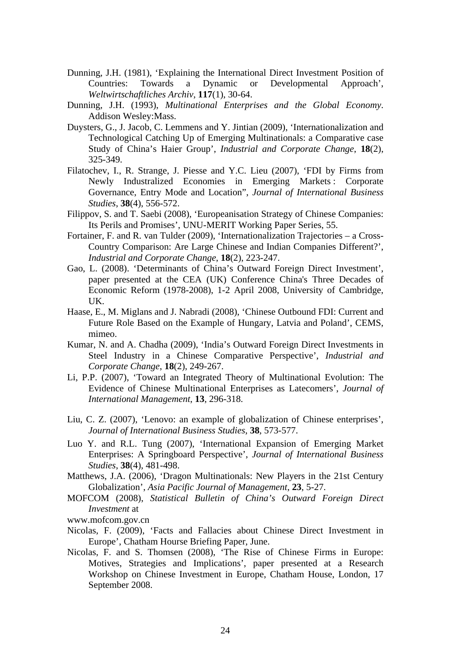- Dunning, J.H. (1981), 'Explaining the International Direct Investment Position of Countries: Towards a Dynamic or Developmental Approach', *Weltwirtschaftliches Archiv*, **117**(1), 30-64.
- Dunning, J.H. (1993), *Multinational Enterprises and the Global Economy*. Addison Wesley:Mass.
- Duysters, G., J. Jacob, C. Lemmens and Y. Jintian (2009), 'Internationalization and Technological Catching Up of Emerging Multinationals: a Comparative case Study of China's Haier Group', *Industrial and Corporate Change*, **18**(2), 325-349.
- Filatochev, I., R. Strange, J. Piesse and Y.C. Lieu (2007), 'FDI by Firms from Newly Industralized Economies in Emerging Markets : Corporate Governance, Entry Mode and Location", *Journal of International Business Studies*, **38**(4), 556-572.
- Filippov, S. and T. Saebi (2008), 'Europeanisation Strategy of Chinese Companies: Its Perils and Promises', UNU-MERIT Working Paper Series, 55.
- Fortainer, F. and R. van Tulder (2009), 'Internationalization Trajectories a Cross-Country Comparison: Are Large Chinese and Indian Companies Different?', *Industrial and Corporate Change*, **18**(2), 223-247.
- Gao, L. (2008). 'Determinants of China's Outward Foreign Direct Investment', paper presented at the CEA (UK) Conference China's Three Decades of Economic Reform (1978-2008), 1-2 April 2008, University of Cambridge, UK.
- Haase, E., M. Miglans and J. Nabradi (2008), 'Chinese Outbound FDI: Current and Future Role Based on the Example of Hungary, Latvia and Poland', CEMS, mimeo.
- Kumar, N. and A. Chadha (2009), 'India's Outward Foreign Direct Investments in Steel Industry in a Chinese Comparative Perspective', *Industrial and Corporate Change*, **18**(2), 249-267.
- Li, P.P. (2007), 'Toward an Integrated Theory of Multinational Evolution: The Evidence of Chinese Multinational Enterprises as Latecomers', *Journal of International Management*, **13**, 296-318.
- Liu, C. Z. (2007), 'Lenovo: an example of globalization of Chinese enterprises', *Journal of International Business Studies*, **38**, 573-577.
- Luo Y. and R.L. Tung (2007), 'International Expansion of Emerging Market Enterprises: A Springboard Perspective', *Journal of International Business Studies*, **38**(4), 481-498.
- Matthews, J.A. (2006), 'Dragon Multinationals: New Players in the 21st Century Globalization', *Asia Pacific Journal of Management*, **23**, 5-27.
- MOFCOM (2008), *Statistical Bulletin of China's Outward Foreign Direct Investment* at

www.mofcom.gov.cn

- Nicolas, F. (2009), 'Facts and Fallacies about Chinese Direct Investment in Europe', Chatham Hourse Briefing Paper, June.
- Nicolas, F. and S. Thomsen (2008), 'The Rise of Chinese Firms in Europe: Motives, Strategies and Implications', paper presented at a Research Workshop on Chinese Investment in Europe, Chatham House, London, 17 September 2008.